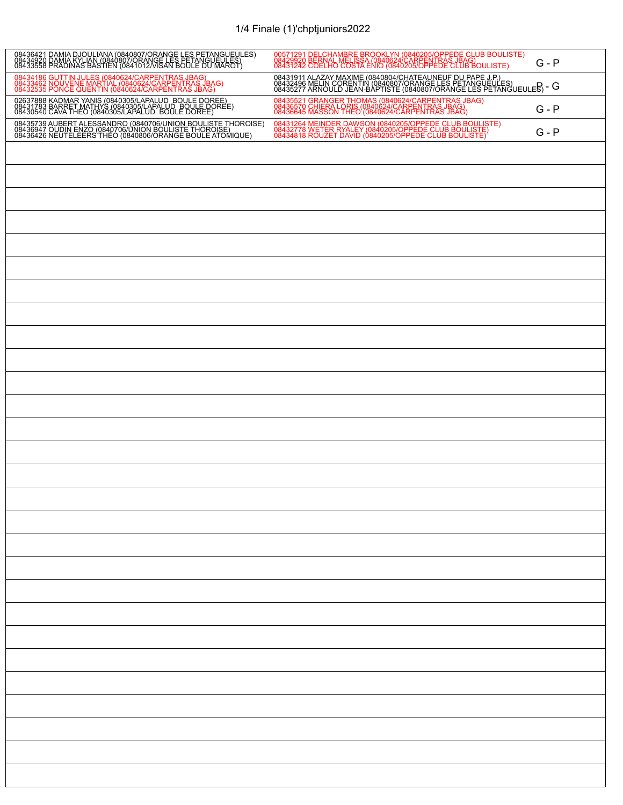## 1/4 Finale (1)'chptjuniors2022

| 08436421 DAMIA DJOULIANA (0840807/ORANGE LES PETANGUEULES)<br>08434920 DAMIA KYLIAN (0840807/ORANGE LES PETANGUEULES)<br>08433558 PRADINAS BASTIEN (0841012/VISAN BOULE DU MAROT) | 00571291 DELCHAMBRE BROOKLYN (0840205/OPPEDE CLUB BOULISTE)<br>08429920 BERNAL MELISSA (0840624/CARPENTRAS JBAG)<br>08431242 COELHO COSTA ENIO (0840205/OPPEDE CLUB BOULISTE)<br>$G - P$                                                     |
|-----------------------------------------------------------------------------------------------------------------------------------------------------------------------------------|----------------------------------------------------------------------------------------------------------------------------------------------------------------------------------------------------------------------------------------------|
| 08434186 GUTTIN JULES (0840624/CARPENTRAS JBAG)<br>08433462 NOUVENE MARTIAL (0840624/CARPENTRAS JBAG)<br>08432535 PONCE QUENTIN (0840624/CARPENTRAS JBAG)                         | 08431911 ALAZAY MAXIME (0840804/CHATEAUNEUF DU PAPE J.P.)<br>08432496 MELIN CORENTIN (0840807/ORANGE LES PETANGUEULES)<br>08435277 ARNOULD JEAN-BAPTISTE (0840807/ORANGE LES PETANGUEULE $\overline{\mathsf{B}}$ ) – $\overline{\mathsf{G}}$ |
| 02637888 KADMAR YANIS (0840305/LAPALUD BOULE DOREE)<br>08431783 BARRET MATHYS (0840305/LAPALUD BOULE DOREE)<br>08430540 CAVA THEO (0840305/LAPALUD BOULE DOREE)                   | 08435521 GRANGER THOMAS (0840624/CARPENTRAS JBAG)<br>08436570 CHIERA LORIS (0840624/CARPENTRAS JBAG)<br>08436645 MASSON THEO (0840624/CARPENTRAS JBAG)<br>$G - P$                                                                            |
| 08435739 AUBERT ALESSANDRO (0840706/UNION BOULISTE THOROISE)<br>08436947 OUDIN ENZO (0840706/UNION BOULISTE THOROISE)<br>08436426 NEUTELEERS THEO (0840806/ORANGE BOULE ATOMIQUE) | 08431264 MEINDER DAWSON (0840205/OPPEDE CLUB BOULISTE)<br>08432778 WETER RYALEY (0840205/OPPEDE CLUB BOULISTE)<br>08434818 ROUZET DAVID (0840205/OPPEDE CLUB BOULISTE)<br>$G - P$                                                            |
|                                                                                                                                                                                   |                                                                                                                                                                                                                                              |
|                                                                                                                                                                                   |                                                                                                                                                                                                                                              |
|                                                                                                                                                                                   |                                                                                                                                                                                                                                              |
|                                                                                                                                                                                   |                                                                                                                                                                                                                                              |
|                                                                                                                                                                                   |                                                                                                                                                                                                                                              |
|                                                                                                                                                                                   |                                                                                                                                                                                                                                              |
|                                                                                                                                                                                   |                                                                                                                                                                                                                                              |
|                                                                                                                                                                                   |                                                                                                                                                                                                                                              |
|                                                                                                                                                                                   |                                                                                                                                                                                                                                              |
|                                                                                                                                                                                   |                                                                                                                                                                                                                                              |
|                                                                                                                                                                                   |                                                                                                                                                                                                                                              |
|                                                                                                                                                                                   |                                                                                                                                                                                                                                              |
|                                                                                                                                                                                   |                                                                                                                                                                                                                                              |
|                                                                                                                                                                                   |                                                                                                                                                                                                                                              |
|                                                                                                                                                                                   |                                                                                                                                                                                                                                              |
|                                                                                                                                                                                   |                                                                                                                                                                                                                                              |
|                                                                                                                                                                                   |                                                                                                                                                                                                                                              |
|                                                                                                                                                                                   |                                                                                                                                                                                                                                              |
|                                                                                                                                                                                   |                                                                                                                                                                                                                                              |
|                                                                                                                                                                                   |                                                                                                                                                                                                                                              |
|                                                                                                                                                                                   |                                                                                                                                                                                                                                              |
|                                                                                                                                                                                   |                                                                                                                                                                                                                                              |
|                                                                                                                                                                                   |                                                                                                                                                                                                                                              |
|                                                                                                                                                                                   |                                                                                                                                                                                                                                              |
|                                                                                                                                                                                   |                                                                                                                                                                                                                                              |
|                                                                                                                                                                                   |                                                                                                                                                                                                                                              |
|                                                                                                                                                                                   |                                                                                                                                                                                                                                              |
|                                                                                                                                                                                   |                                                                                                                                                                                                                                              |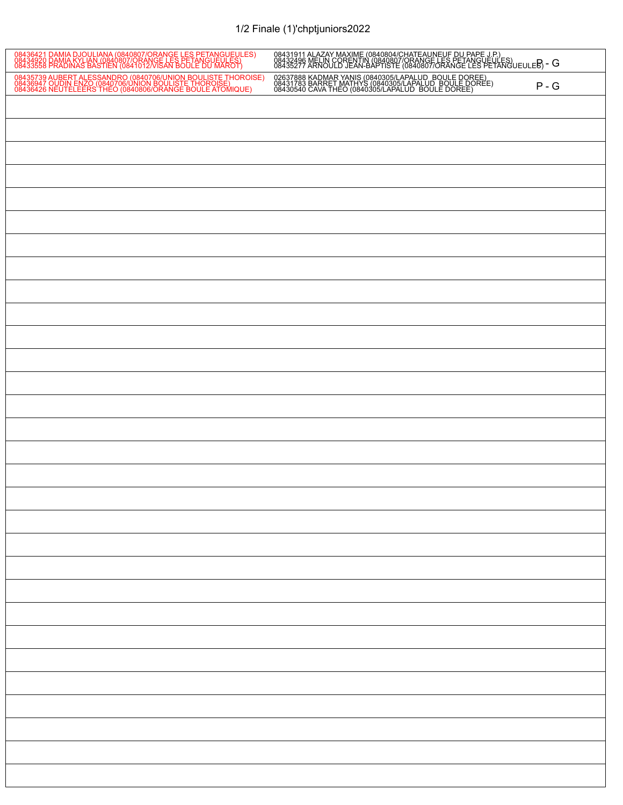## 1/2 Finale (1)'chptjuniors2022

| 08436421 DAMIA DJOULIANA (0840807/ORANGE LES PETANGUEULES)<br>08434920 DAMIA KYLIAN (0840807/ORANGE LES PETANGUEULES)<br>08433558 PRADINAS BASTIEN (0841012/VISAN BOULE DU MAROT) | 08431911 ALAZAY MAXIME (0840804/CHATEAUNEUF DU PAPE J.P.)<br>08432496 MELIN CORENTIN (0840807/ORANGE LES PETANGUEULES)<br>08435277 ARNOULD JEAN-BAPTISTE (0840807/ORANGE LES PETANGUEULE $\overline{\mathsf{B}}$ ) – $\overline{\mathsf{G}}$ |
|-----------------------------------------------------------------------------------------------------------------------------------------------------------------------------------|----------------------------------------------------------------------------------------------------------------------------------------------------------------------------------------------------------------------------------------------|
| 08435739 AUBERT ALESSANDRO (0840706/UNION BOULISTE THOROISE)<br>08436947 OUDIN ENZO (0840706/UNION BOULISTE THOROISE)<br>08436426 NEUTELEERS THEO (0840806/ORANGE BOULE ATOMIQUE) | 02637888 KADMAR YANIS (0840305/LAPALUD BOULE DOREE)<br>08431783 BARRET MATHYS (0840305/LAPALUD BOULE DOREE)<br>08430540 CAVA THEO (0840305/LAPALUD BOULE DOREE)<br>$P - G$                                                                   |
|                                                                                                                                                                                   |                                                                                                                                                                                                                                              |
|                                                                                                                                                                                   |                                                                                                                                                                                                                                              |
|                                                                                                                                                                                   |                                                                                                                                                                                                                                              |
|                                                                                                                                                                                   |                                                                                                                                                                                                                                              |
|                                                                                                                                                                                   |                                                                                                                                                                                                                                              |
|                                                                                                                                                                                   |                                                                                                                                                                                                                                              |
|                                                                                                                                                                                   |                                                                                                                                                                                                                                              |
|                                                                                                                                                                                   |                                                                                                                                                                                                                                              |
|                                                                                                                                                                                   |                                                                                                                                                                                                                                              |
|                                                                                                                                                                                   |                                                                                                                                                                                                                                              |
|                                                                                                                                                                                   |                                                                                                                                                                                                                                              |
|                                                                                                                                                                                   |                                                                                                                                                                                                                                              |
|                                                                                                                                                                                   |                                                                                                                                                                                                                                              |
|                                                                                                                                                                                   |                                                                                                                                                                                                                                              |
|                                                                                                                                                                                   |                                                                                                                                                                                                                                              |
|                                                                                                                                                                                   |                                                                                                                                                                                                                                              |
|                                                                                                                                                                                   |                                                                                                                                                                                                                                              |
|                                                                                                                                                                                   |                                                                                                                                                                                                                                              |
|                                                                                                                                                                                   |                                                                                                                                                                                                                                              |
|                                                                                                                                                                                   |                                                                                                                                                                                                                                              |
|                                                                                                                                                                                   |                                                                                                                                                                                                                                              |
|                                                                                                                                                                                   |                                                                                                                                                                                                                                              |
|                                                                                                                                                                                   |                                                                                                                                                                                                                                              |
|                                                                                                                                                                                   |                                                                                                                                                                                                                                              |
|                                                                                                                                                                                   |                                                                                                                                                                                                                                              |
|                                                                                                                                                                                   |                                                                                                                                                                                                                                              |
|                                                                                                                                                                                   |                                                                                                                                                                                                                                              |
|                                                                                                                                                                                   |                                                                                                                                                                                                                                              |